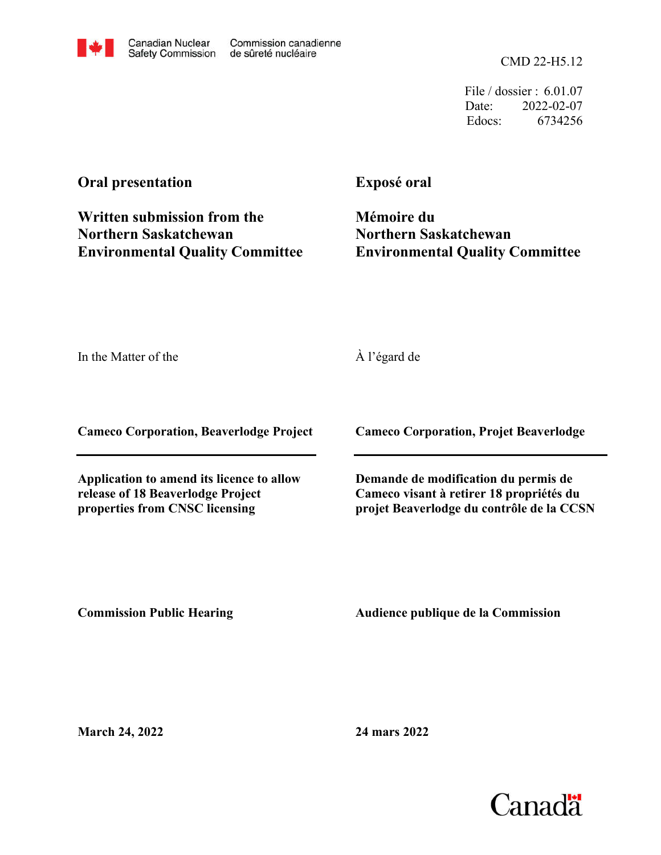CMD 22-H5.12

File / dossier : 6.01.07 Date: 2022-02-07 Edocs: 6734256

## **Oral presentation**

**Written submission from the Northern Saskatchewan Environmental Quality Committee** **Exposé oral**

**Mémoire du Northern Saskatchewan Environmental Quality Committee**

In the Matter of the

À l'égard de

**Cameco Corporation, Beaverlodge Project**

**Application to amend its licence to allow release of 18 Beaverlodge Project properties from CNSC licensing**

**Cameco Corporation, Projet Beaverlodge**

**Demande de modification du permis de Cameco visant à retirer 18 propriétés du projet Beaverlodge du contrôle de la CCSN**

**Commission Public Hearing**

**Audience publique de la Commission** 

**March 24, 2022**

**24 mars 2022**

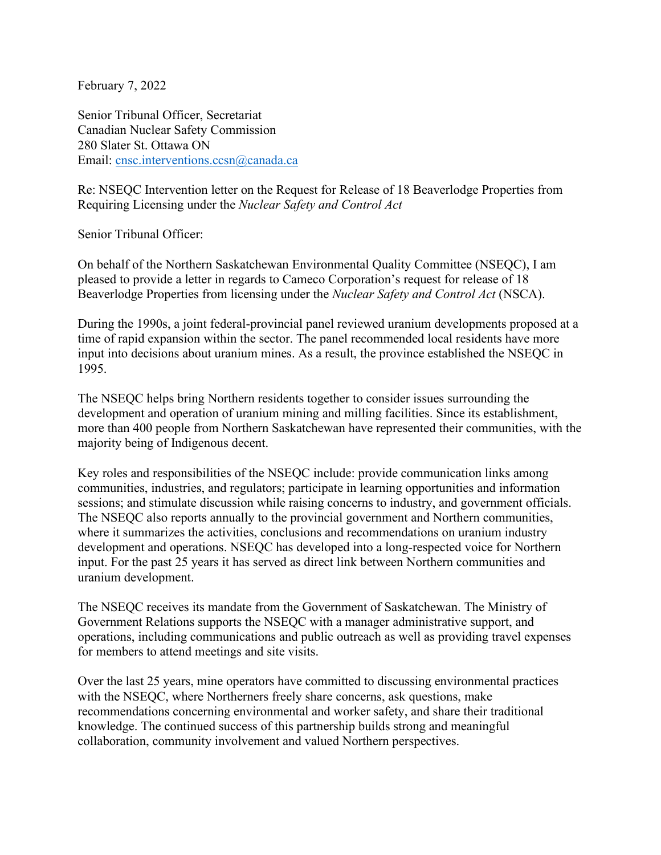February 7, 2022

Senior Tribunal Officer, Secretariat Canadian Nuclear Safety Commission 280 Slater St. Ottawa ON Email: cnsc.interventions.ccsn@canada.ca

Re: NSEQC Intervention letter on the Request for Release of 18 Beaverlodge Properties from Requiring Licensing under the *Nuclear Safety and Control Act*

Senior Tribunal Officer:

On behalf of the Northern Saskatchewan Environmental Quality Committee (NSEQC), I am pleased to provide a letter in regards to Cameco Corporation's request for release of 18 Beaverlodge Properties from licensing under the *Nuclear Safety and Control Act* (NSCA).

During the 1990s, a joint federal-provincial panel reviewed uranium developments proposed at a time of rapid expansion within the sector. The panel recommended local residents have more input into decisions about uranium mines. As a result, the province established the NSEQC in 1995.

The NSEQC helps bring Northern residents together to consider issues surrounding the development and operation of uranium mining and milling facilities. Since its establishment, more than 400 people from Northern Saskatchewan have represented their communities, with the majority being of Indigenous decent.

Key roles and responsibilities of the NSEQC include: provide communication links among communities, industries, and regulators; participate in learning opportunities and information sessions; and stimulate discussion while raising concerns to industry, and government officials. The NSEQC also reports annually to the provincial government and Northern communities, where it summarizes the activities, conclusions and recommendations on uranium industry development and operations. NSEQC has developed into a long-respected voice for Northern input. For the past 25 years it has served as direct link between Northern communities and uranium development.

The NSEQC receives its mandate from the Government of Saskatchewan. The Ministry of Government Relations supports the NSEQC with a manager administrative support, and operations, including communications and public outreach as well as providing travel expenses for members to attend meetings and site visits.

Over the last 25 years, mine operators have committed to discussing environmental practices with the NSEQC, where Northerners freely share concerns, ask questions, make recommendations concerning environmental and worker safety, and share their traditional knowledge. The continued success of this partnership builds strong and meaningful collaboration, community involvement and valued Northern perspectives.